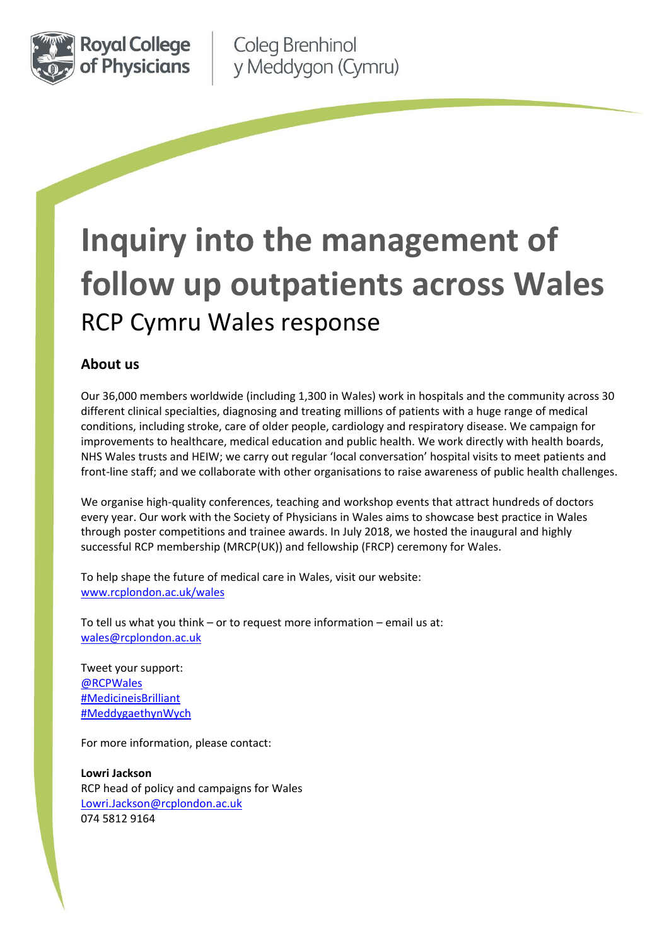

Coleg Brenhinol y Meddygon (Cymru)

# **Inquiry into the management of follow up outpatients across Wales** RCP Cymru Wales response

# **About us**

Our 36,000 members worldwide (including 1,300 in Wales) work in hospitals and the community across 30 different clinical specialties, diagnosing and treating millions of patients with a huge range of medical conditions, including stroke, care of older people, cardiology and respiratory disease. We campaign for improvements to healthcare, medical education and public health. We work directly with health boards, NHS Wales trusts and HEIW; we carry out regular 'local conversation' hospital visits to meet patients and front-line staff; and we collaborate with other organisations to raise awareness of public health challenges.

We organise high-quality conferences, teaching and workshop events that attract hundreds of doctors every year. Our work with the Society of Physicians in Wales aims to showcase best practice in Wales through poster competitions and trainee awards. In July 2018, we hosted the inaugural and highly successful RCP membership (MRCP(UK)) and fellowship (FRCP) ceremony for Wales.

To help shape the future of medical care in Wales, visit our website: [www.rcplondon.ac.uk/wales](http://www.rcplondon.ac.uk/wales)

To tell us what you think – or to request more information – email us at: [wales@rcplondon.ac.uk](mailto:Wales@rcplondon.ac.uk)

Tweet your support: [@RCPWales](https://twitter.com/RCPWales) [#MedicineisBrilliant](https://twitter.com/search?q=%23medicineisbrilliant&src=typd) [#MeddygaethynWych](https://twitter.com/search?q=%23MeddygaethynWych%20&src=typd)

For more information, please contact:

**Lowri Jackson** RCP head of policy and campaigns for Wales [Lowri.Jackson@rcplondon.ac.uk](mailto:Lowri.Jackson@rcplondon.ac.uk) 074 5812 9164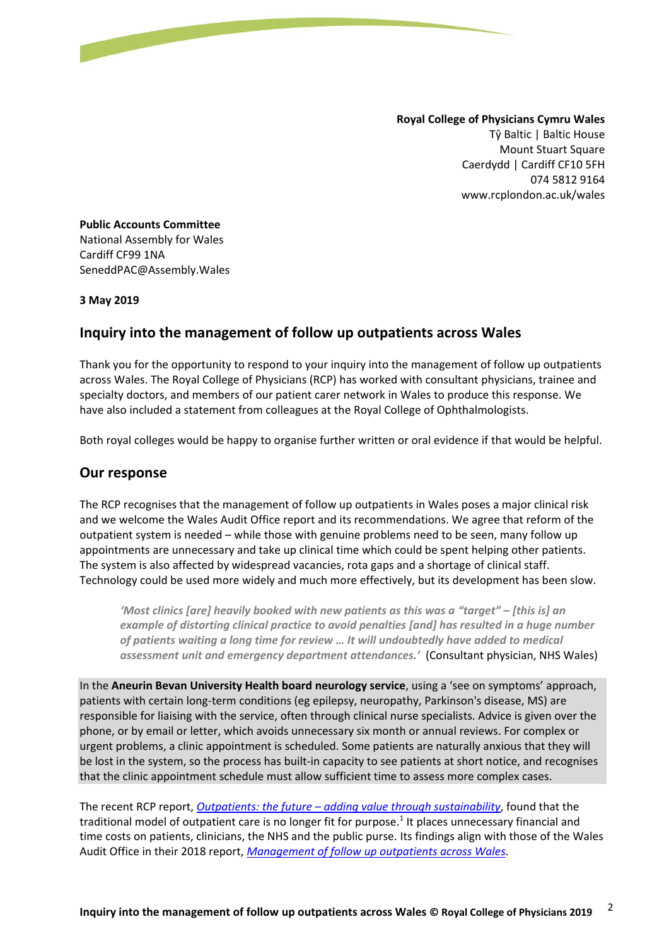**Royal College of Physicians Cymru Wales** Tŷ Baltic | Baltic House Mount Stuart Square Caerdydd | Cardiff CF10 5FH 074 5812 9164 www.rcplondon.ac.uk/wales

**Public Accounts Committee**  National Assembly for Wales Cardiff CF99 1NA SeneddPAC@Assembly.Wales

#### **3 May 2019**

## **Inquiry into the management of follow up outpatients across Wales**

Thank you for the opportunity to respond to your inquiry into the management of follow up outpatients across Wales. The Royal College of Physicians (RCP) has worked with consultant physicians, trainee and specialty doctors, and members of our patient carer network in Wales to produce this response. We have also included a statement from colleagues at the Royal College of Ophthalmologists.

Both royal colleges would be happy to organise further written or oral evidence if that would be helpful.

## **Our response**

The RCP recognises that the management of follow up outpatients in Wales poses a major clinical risk and we welcome the Wales Audit Office report and its recommendations. We agree that reform of the outpatient system is needed – while those with genuine problems need to be seen, many follow up appointments are unnecessary and take up clinical time which could be spent helping other patients. The system is also affected by widespread vacancies, rota gaps and a shortage of clinical staff. Technology could be used more widely and much more effectively, but its development has been slow.

*'Most clinics [are] heavily booked with new patients as this was a "target" – [this is] an example of distorting clinical practice to avoid penalties [and] has resulted in a huge number of patients waiting a long time for review … It will undoubtedly have added to medical assessment unit and emergency department attendances.'* (Consultant physician, NHS Wales)

In the **Aneurin Bevan University Health board neurology service**, using a 'see on symptoms' approach, patients with certain long-term conditions (eg epilepsy, neuropathy, Parkinson's disease, MS) are responsible for liaising with the service, often through clinical nurse specialists. Advice is given over the phone, or by email or letter, which avoids unnecessary six month or annual reviews. For complex or urgent problems, a clinic appointment is scheduled. Some patients are naturally anxious that they will be lost in the system, so the process has built-in capacity to see patients at short notice, and recognises that the clinic appointment schedule must allow sufficient time to assess more complex cases.

The recent RCP report, *Outpatients: the future – [adding value through sustainability](https://www.rcplondon.ac.uk/projects/outputs/outpatients-future-adding-value-through-sustainability)*, found that the traditional model of outpatient care is no longer fit for purpose.<sup>1</sup> It places unnecessary financial and time costs on patients, clinicians, the NHS and the public purse. Its findings align with those of the Wales Audit Office in their 2018 report, *[Management of follow up outpatients across Wales](http://www.audit.wales/system/files/publications/managing-follow-up-outpatients-english.pdf)*.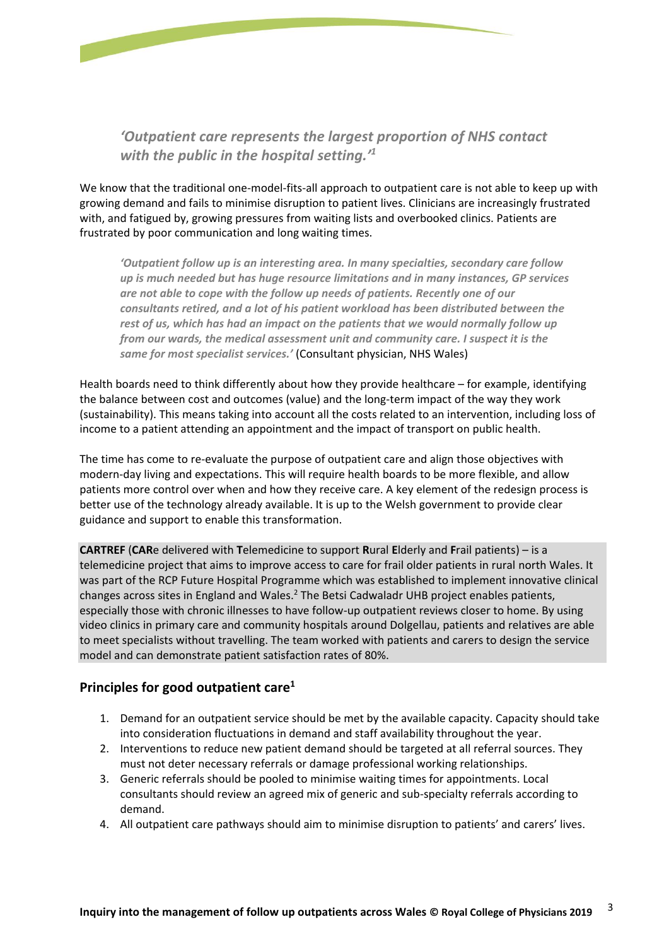

*'Outpatient care represents the largest proportion of NHS contact with the public in the hospital setting.'<sup>1</sup>*

We know that the traditional one-model-fits-all approach to outpatient care is not able to keep up with growing demand and fails to minimise disruption to patient lives. Clinicians are increasingly frustrated with, and fatigued by, growing pressures from waiting lists and overbooked clinics. Patients are frustrated by poor communication and long waiting times.

*'Outpatient follow up is an interesting area. In many specialties, secondary care follow up is much needed but has huge resource limitations and in many instances, GP services are not able to cope with the follow up needs of patients. Recently one of our consultants retired, and a lot of his patient workload has been distributed between the rest of us, which has had an impact on the patients that we would normally follow up from our wards, the medical assessment unit and community care. I suspect it is the same for most specialist services.'* (Consultant physician, NHS Wales)

Health boards need to think differently about how they provide healthcare – for example, identifying the balance between cost and outcomes (value) and the long-term impact of the way they work (sustainability). This means taking into account all the costs related to an intervention, including loss of income to a patient attending an appointment and the impact of transport on public health.

The time has come to re-evaluate the purpose of outpatient care and align those objectives with modern-day living and expectations. This will require health boards to be more flexible, and allow patients more control over when and how they receive care. A key element of the redesign process is better use of the technology already available. It is up to the Welsh government to provide clear guidance and support to enable this transformation.

**CARTREF** (**CAR**e delivered with **T**elemedicine to support **R**ural **E**lderly and **F**rail patients) – is a telemedicine project that aims to improve access to care for frail older patients in rural north Wales. It was part of the RCP Future Hospital Programme which was established to implement innovative clinical changes across sites in England and Wales.<sup>2</sup> The Betsi Cadwaladr UHB project enables patients, especially those with chronic illnesses to have follow-up outpatient reviews closer to home. By using video clinics in primary care and community hospitals around Dolgellau, patients and relatives are able to meet specialists without travelling. The team worked with patients and carers to design the service model and can demonstrate patient satisfaction rates of 80%.

## **Principles for good outpatient care<sup>1</sup>**

- 1. Demand for an outpatient service should be met by the available capacity. Capacity should take into consideration fluctuations in demand and staff availability throughout the year.
- 2. Interventions to reduce new patient demand should be targeted at all referral sources. They must not deter necessary referrals or damage professional working relationships.
- 3. Generic referrals should be pooled to minimise waiting times for appointments. Local consultants should review an agreed mix of generic and sub-specialty referrals according to demand.
- 4. All outpatient care pathways should aim to minimise disruption to patients' and carers' lives.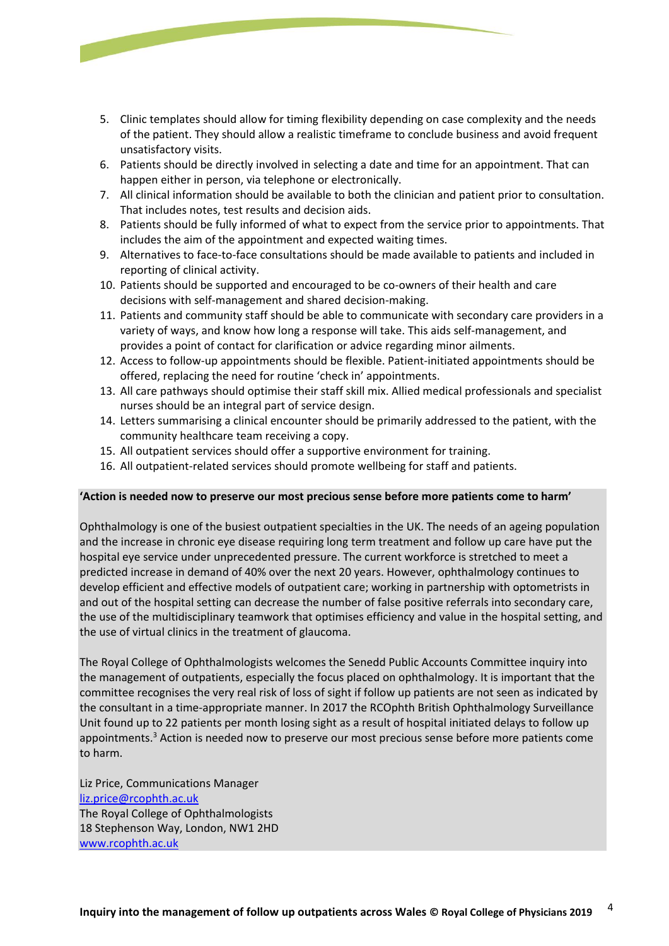- 5. Clinic templates should allow for timing flexibility depending on case complexity and the needs of the patient. They should allow a realistic timeframe to conclude business and avoid frequent unsatisfactory visits.
- 6. Patients should be directly involved in selecting a date and time for an appointment. That can happen either in person, via telephone or electronically.
- 7. All clinical information should be available to both the clinician and patient prior to consultation. That includes notes, test results and decision aids.
- 8. Patients should be fully informed of what to expect from the service prior to appointments. That includes the aim of the appointment and expected waiting times.
- 9. Alternatives to face-to-face consultations should be made available to patients and included in reporting of clinical activity.
- 10. Patients should be supported and encouraged to be co-owners of their health and care decisions with self-management and shared decision-making.
- 11. Patients and community staff should be able to communicate with secondary care providers in a variety of ways, and know how long a response will take. This aids self-management, and provides a point of contact for clarification or advice regarding minor ailments.
- 12. Access to follow-up appointments should be flexible. Patient-initiated appointments should be offered, replacing the need for routine 'check in' appointments.
- 13. All care pathways should optimise their staff skill mix. Allied medical professionals and specialist nurses should be an integral part of service design.
- 14. Letters summarising a clinical encounter should be primarily addressed to the patient, with the community healthcare team receiving a copy.
- 15. All outpatient services should offer a supportive environment for training.
- 16. All outpatient-related services should promote wellbeing for staff and patients.

### **'Action is needed now to preserve our most precious sense before more patients come to harm'**

Ophthalmology is one of the busiest outpatient specialties in the UK. The needs of an ageing population and the increase in chronic eye disease requiring long term treatment and follow up care have put the hospital eye service under unprecedented pressure. The current workforce is stretched to meet a predicted increase in demand of 40% over the next 20 years. However, ophthalmology continues to develop efficient and effective models of outpatient care; working in partnership with optometrists in and out of the hospital setting can decrease the number of false positive referrals into secondary care, the use of the multidisciplinary teamwork that optimises efficiency and value in the hospital setting, and the use of virtual clinics in the treatment of glaucoma.

The Royal College of Ophthalmologists welcomes the Senedd Public Accounts Committee inquiry into the management of outpatients, especially the focus placed on ophthalmology. It is important that the committee recognises the very real risk of loss of sight if follow up patients are not seen as indicated by the consultant in a time-appropriate manner. In 2017 the RCOphth British Ophthalmology Surveillance Unit found up to 22 patients per month losing sight as a result of hospital initiated delays to follow up appointments.<sup>3</sup> Action is needed now to preserve our most precious sense before more patients come to harm.

Liz Price, Communications Manager [liz.price@rcophth.ac.uk](mailto:liz.price@rcophth.ac.uk) The Royal College of Ophthalmologists 18 Stephenson Way, London, NW1 2HD [www.rcophth.ac.uk](http://www.rcophth.ac.uk/)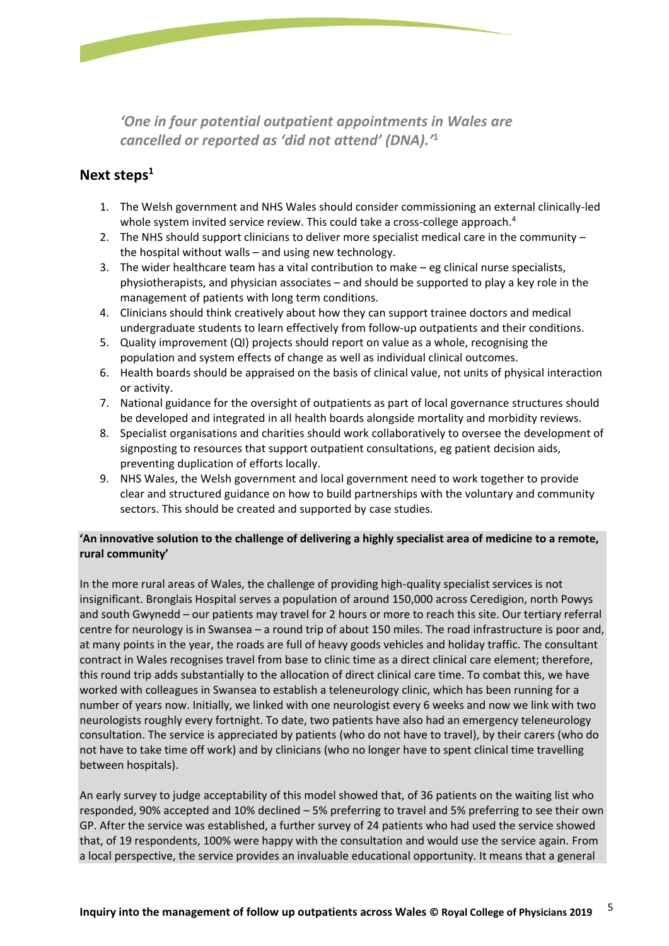

*'One in four potential outpatient appointments in Wales are cancelled or reported as 'did not attend' (DNA).'* **1**

# **Next steps<sup>1</sup>**

- 1. The Welsh government and NHS Wales should consider commissioning an external clinically-led whole system invited service review. This could take a cross-college approach.<sup>4</sup>
- 2. The NHS should support clinicians to deliver more specialist medical care in the community the hospital without walls – and using new technology.
- 3. The wider healthcare team has a vital contribution to make eg clinical nurse specialists, physiotherapists, and physician associates – and should be supported to play a key role in the management of patients with long term conditions.
- 4. Clinicians should think creatively about how they can support trainee doctors and medical undergraduate students to learn effectively from follow-up outpatients and their conditions.
- 5. Quality improvement (QI) projects should report on value as a whole, recognising the population and system effects of change as well as individual clinical outcomes.
- 6. Health boards should be appraised on the basis of clinical value, not units of physical interaction or activity.
- 7. National guidance for the oversight of outpatients as part of local governance structures should be developed and integrated in all health boards alongside mortality and morbidity reviews.
- 8. Specialist organisations and charities should work collaboratively to oversee the development of signposting to resources that support outpatient consultations, eg patient decision aids, preventing duplication of efforts locally.
- 9. NHS Wales, the Welsh government and local government need to work together to provide clear and structured guidance on how to build partnerships with the voluntary and community sectors. This should be created and supported by case studies.

## **'An innovative solution to the challenge of delivering a highly specialist area of medicine to a remote, rural community'**

In the more rural areas of Wales, the challenge of providing high-quality specialist services is not insignificant. Bronglais Hospital serves a population of around 150,000 across Ceredigion, north Powys and south Gwynedd – our patients may travel for 2 hours or more to reach this site. Our tertiary referral centre for neurology is in Swansea – a round trip of about 150 miles. The road infrastructure is poor and, at many points in the year, the roads are full of heavy goods vehicles and holiday traffic. The consultant contract in Wales recognises travel from base to clinic time as a direct clinical care element; therefore, this round trip adds substantially to the allocation of direct clinical care time. To combat this, we have worked with colleagues in Swansea to establish a teleneurology clinic, which has been running for a number of years now. Initially, we linked with one neurologist every 6 weeks and now we link with two neurologists roughly every fortnight. To date, two patients have also had an emergency teleneurology consultation. The service is appreciated by patients (who do not have to travel), by their carers (who do not have to take time off work) and by clinicians (who no longer have to spent clinical time travelling between hospitals).

An early survey to judge acceptability of this model showed that, of 36 patients on the waiting list who responded, 90% accepted and 10% declined – 5% preferring to travel and 5% preferring to see their own GP. After the service was established, a further survey of 24 patients who had used the service showed that, of 19 respondents, 100% were happy with the consultation and would use the service again. From a local perspective, the service provides an invaluable educational opportunity. It means that a general